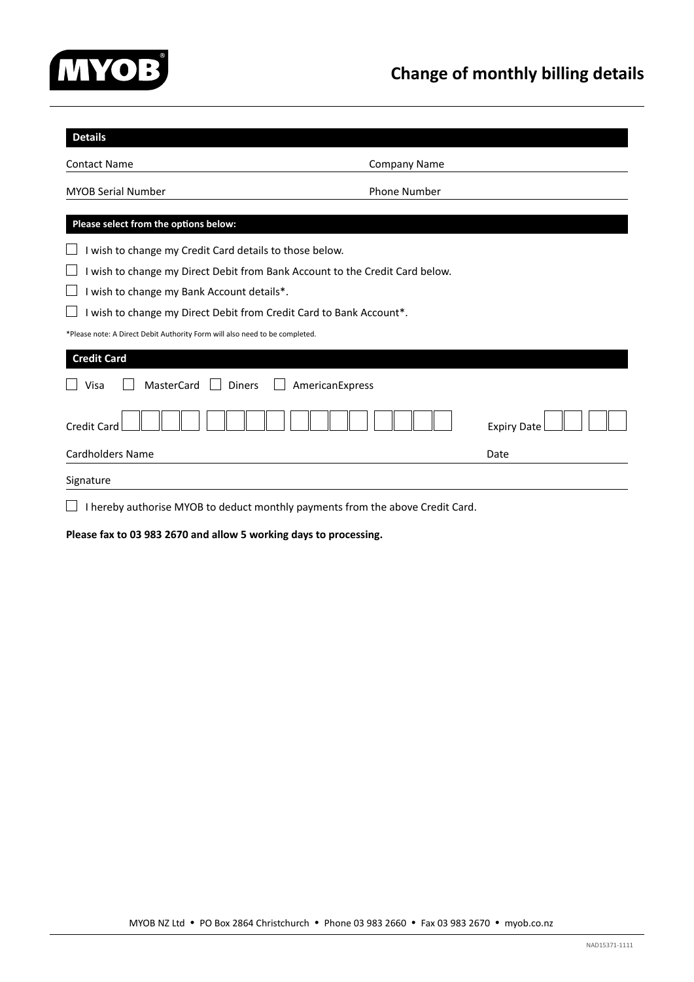

| <b>Details</b>                                                                 |                     |                    |  |  |  |
|--------------------------------------------------------------------------------|---------------------|--------------------|--|--|--|
| <b>Contact Name</b>                                                            | <b>Company Name</b> |                    |  |  |  |
| <b>MYOB Serial Number</b>                                                      | Phone Number        |                    |  |  |  |
| Please select from the options below:                                          |                     |                    |  |  |  |
| wish to change my Credit Card details to those below.                          |                     |                    |  |  |  |
| I wish to change my Direct Debit from Bank Account to the Credit Card below.   |                     |                    |  |  |  |
| I wish to change my Bank Account details*.                                     |                     |                    |  |  |  |
| wish to change my Direct Debit from Credit Card to Bank Account*.              |                     |                    |  |  |  |
| *Please note: A Direct Debit Authority Form will also need to be completed.    |                     |                    |  |  |  |
| <b>Credit Card</b>                                                             |                     |                    |  |  |  |
| <b>MasterCard</b><br><b>Diners</b><br>Visa<br>AmericanExpress                  |                     |                    |  |  |  |
| <b>Credit Card</b>                                                             |                     | <b>Expiry Date</b> |  |  |  |
| <b>Cardholders Name</b>                                                        |                     | Date               |  |  |  |
| Signature                                                                      |                     |                    |  |  |  |
| I hereby authorise MYOB to deduct monthly payments from the above Credit Card. |                     |                    |  |  |  |

**Please fax to 03 983 2670 and allow 5 working days to processing.**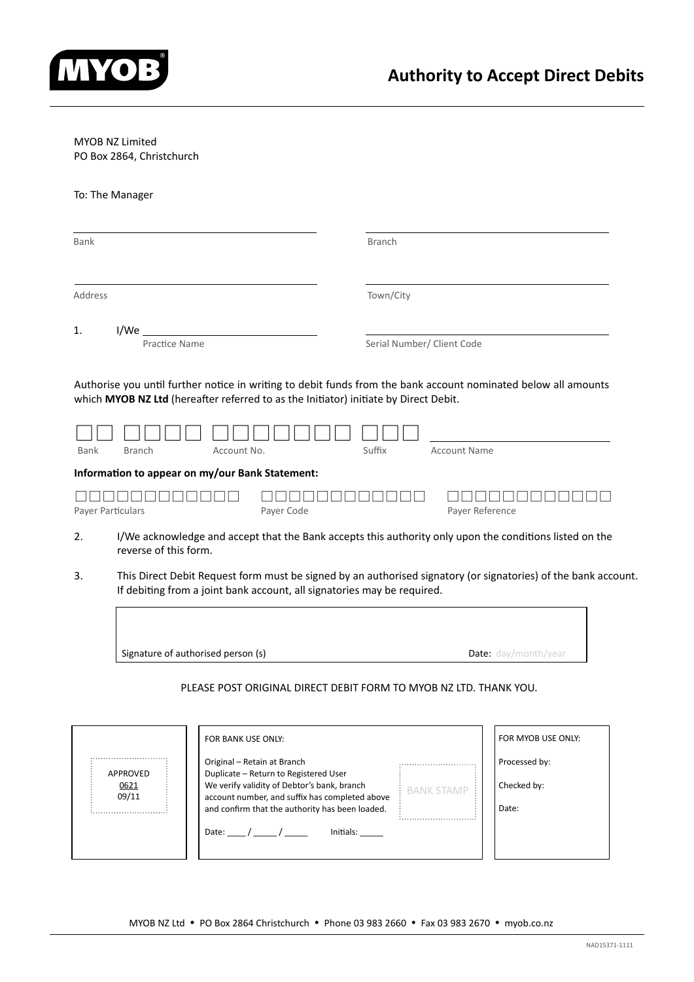

# MYOB NZ Limited

PO Box 2864, Christchurch

# To: The Manager

| Bank              |                                                                                                                      |            | <b>Branch</b>              |                                                                                                                |
|-------------------|----------------------------------------------------------------------------------------------------------------------|------------|----------------------------|----------------------------------------------------------------------------------------------------------------|
| Address           |                                                                                                                      |            | Town/City                  |                                                                                                                |
|                   |                                                                                                                      |            |                            |                                                                                                                |
| 1.                | $I/We$ _                                                                                                             |            |                            |                                                                                                                |
|                   | Practice Name                                                                                                        |            | Serial Number/ Client Code |                                                                                                                |
| Bank              | which MYOB NZ Ltd (hereafter referred to as the Initiator) initiate by Direct Debit.<br><b>Branch</b><br>Account No. |            | Suffix                     | <b>Account Name</b>                                                                                            |
|                   | Information to appear on my/our Bank Statement:                                                                      |            |                            |                                                                                                                |
| Payer Particulars |                                                                                                                      | Payer Code |                            | Payer Reference                                                                                                |
| 2.                | reverse of this form.                                                                                                |            |                            | I/We acknowledge and accept that the Bank accepts this authority only upon the conditions listed on the        |
| 3.                | If debiting from a joint bank account, all signatories may be required.                                              |            |                            | This Direct Debit Request form must be signed by an authorised signatory (or signatories) of the bank account. |



# PLEASE POST ORIGINAL DIRECT DEBIT FORM TO MYOB NZ LTD. THANK YOU.

|               | FOR BANK USE ONLY:                                                                                                                     |                   | FOR MYOB USE ONLY: |
|---------------|----------------------------------------------------------------------------------------------------------------------------------------|-------------------|--------------------|
| APPROVED      | Original – Retain at Branch                                                                                                            |                   | Processed by:      |
| 0621<br>09/11 | Duplicate - Return to Registered User<br>We verify validity of Debtor's bank, branch<br>account number, and suffix has completed above | <b>BANK STAMP</b> | Checked by:        |
|               | and confirm that the authority has been loaded.                                                                                        |                   | Date:              |
|               | Initials:<br>Date: $/$ /                                                                                                               |                   |                    |